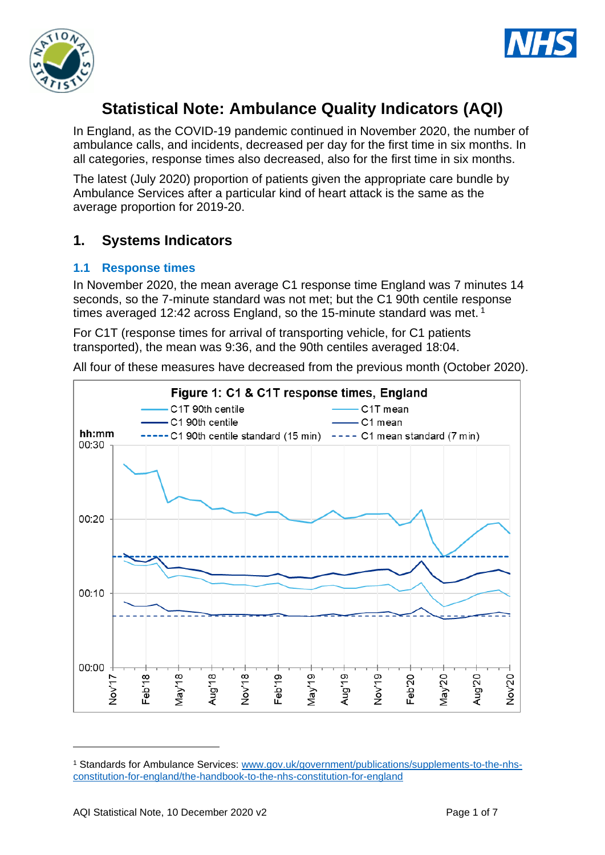



# **Statistical Note: Ambulance Quality Indicators (AQI)**

In England, as the COVID-19 pandemic continued in November 2020, the number of ambulance calls, and incidents, decreased per day for the first time in six months. In all categories, response times also decreased, also for the first time in six months.

The latest (July 2020) proportion of patients given the appropriate care bundle by Ambulance Services after a particular kind of heart attack is the same as the average proportion for 2019-20.

## **1. Systems Indicators**

#### **1.1 Response times**

In November 2020, the mean average C1 response time England was 7 minutes 14 seconds, so the 7-minute standard was not met; but the C1 90th centile response times averaged 12:42 across England, so the 15-minute standard was met.<sup>1</sup>

For C1T (response times for arrival of transporting vehicle, for C1 patients transported), the mean was 9:36, and the 90th centiles averaged 18:04.

All four of these measures have decreased from the previous month (October 2020).



<sup>1</sup> Standards for Ambulance Services: www.gov.uk/government/publications/supplements-to-the-nhsconstitution-for-england/the-handbook-to-the-nhs-constitution-for-england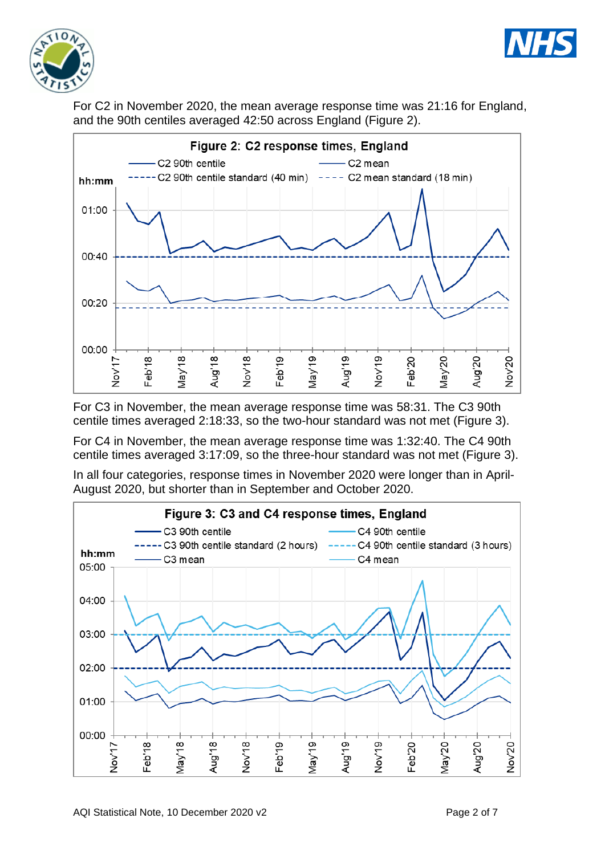



For C2 in November 2020, the mean average response time was 21:16 for England, and the 90th centiles averaged 42:50 across England (Figure 2).



For C3 in November, the mean average response time was 58:31. The C3 90th centile times averaged 2:18:33, so the two-hour standard was not met (Figure 3).

For C4 in November, the mean average response time was 1:32:40. The C4 90th centile times averaged 3:17:09, so the three-hour standard was not met (Figure 3).

In all four categories, response times in November 2020 were longer than in April-August 2020, but shorter than in September and October 2020.

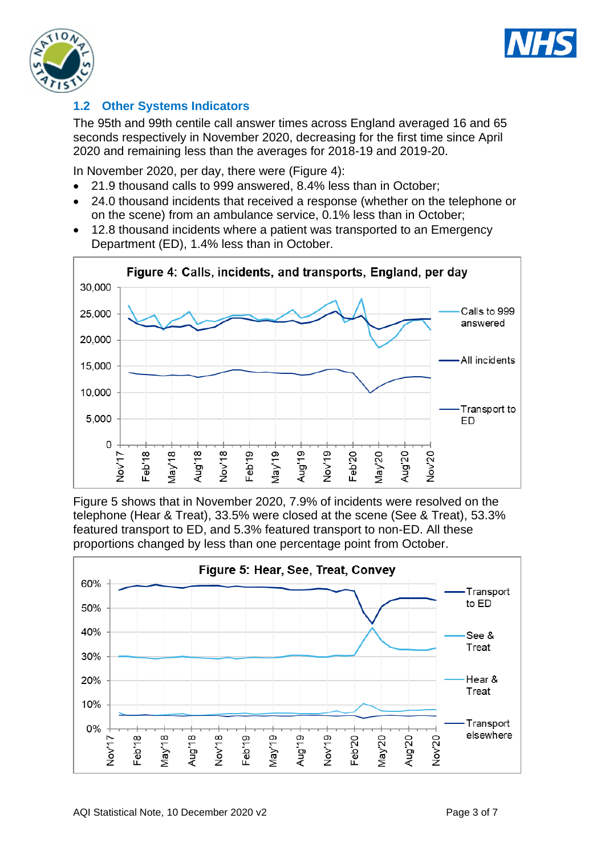



### **1.2 Other Systems Indicators**

The 95th and 99th centile call answer times across England averaged 16 and 65 seconds respectively in November 2020, decreasing for the first time since April 2020 and remaining less than the averages for 2018-19 and 2019-20.

In November 2020, per day, there were (Figure 4):

- 21.9 thousand calls to 999 answered, 8.4% less than in October;
- 24.0 thousand incidents that received a response (whether on the telephone or on the scene) from an ambulance service, 0.1% less than in October;
- 12.8 thousand incidents where a patient was transported to an Emergency Department (ED), 1.4% less than in October.



Figure 5 shows that in November 2020, 7.9% of incidents were resolved on the telephone (Hear & Treat), 33.5% were closed at the scene (See & Treat), 53.3% featured transport to ED, and 5.3% featured transport to non-ED. All these proportions changed by less than one percentage point from October.

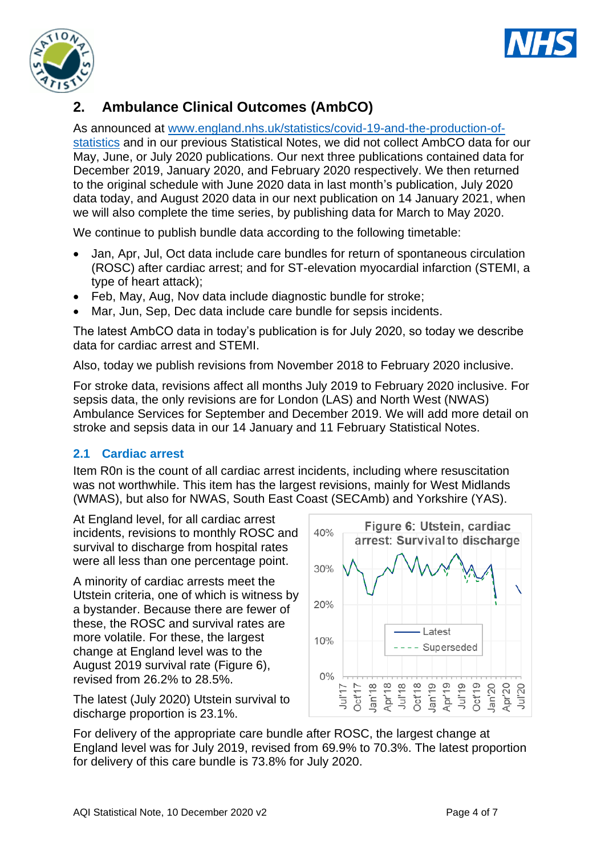



## **2. Ambulance Clinical Outcomes (AmbCO)**

As announced at [www.england.nhs.uk/statistics/covid-19-and-the-production-of](https://www.england.nhs.uk/statistics/covid-19-and-the-production-of-statistics/)[statistics](https://www.england.nhs.uk/statistics/covid-19-and-the-production-of-statistics/) and in our previous Statistical Notes, we did not collect AmbCO data for our May, June, or July 2020 publications. Our next three publications contained data for December 2019, January 2020, and February 2020 respectively. We then returned to the original schedule with June 2020 data in last month's publication, July 2020 data today, and August 2020 data in our next publication on 14 January 2021, when we will also complete the time series, by publishing data for March to May 2020.

We continue to publish bundle data according to the following timetable:

- Jan, Apr, Jul, Oct data include care bundles for return of spontaneous circulation (ROSC) after cardiac arrest; and for ST-elevation myocardial infarction (STEMI, a type of heart attack);
- Feb, May, Aug, Nov data include diagnostic bundle for stroke;
- Mar, Jun, Sep, Dec data include care bundle for sepsis incidents.

The latest AmbCO data in today's publication is for July 2020, so today we describe data for cardiac arrest and STEMI.

Also, today we publish revisions from November 2018 to February 2020 inclusive.

For stroke data, revisions affect all months July 2019 to February 2020 inclusive. For sepsis data, the only revisions are for London (LAS) and North West (NWAS) Ambulance Services for September and December 2019. We will add more detail on stroke and sepsis data in our 14 January and 11 February Statistical Notes.

#### **2.1 Cardiac arrest**

Item R0n is the count of all cardiac arrest incidents, including where resuscitation was not worthwhile. This item has the largest revisions, mainly for West Midlands (WMAS), but also for NWAS, South East Coast (SECAmb) and Yorkshire (YAS).

At England level, for all cardiac arrest incidents, revisions to monthly ROSC and survival to discharge from hospital rates were all less than one percentage point.

A minority of cardiac arrests meet the Utstein criteria, one of which is witness by a bystander. Because there are fewer of these, the ROSC and survival rates are more volatile. For these, the largest change at England level was to the August 2019 survival rate (Figure 6), revised from 26.2% to 28.5%.

The latest (July 2020) Utstein survival to discharge proportion is 23.1%.



For delivery of the appropriate care bundle after ROSC, the largest change at England level was for July 2019, revised from 69.9% to 70.3%. The latest proportion for delivery of this care bundle is 73.8% for July 2020.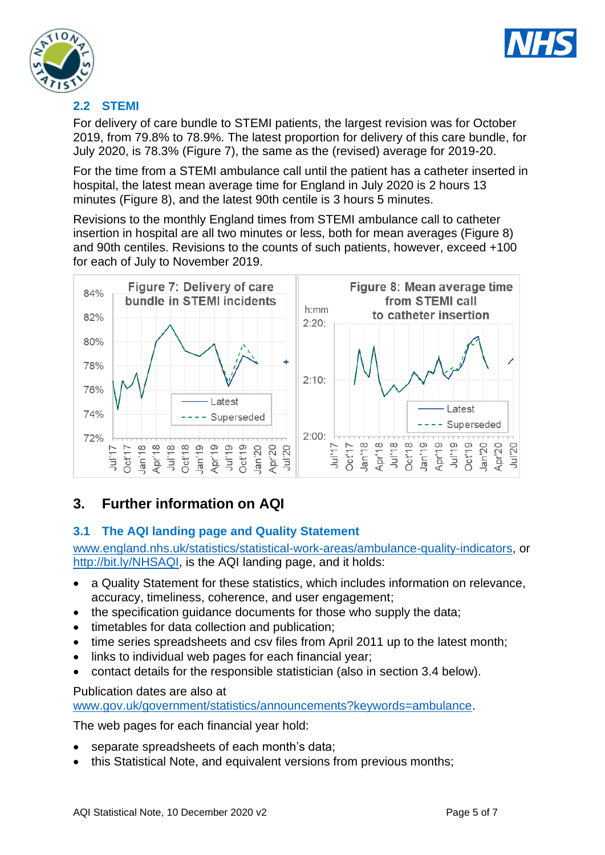



### **2.2 STEMI**

For delivery of care bundle to STEMI patients, the largest revision was for October 2019, from 79.8% to 78.9%. The latest proportion for delivery of this care bundle, for July 2020, is 78.3% (Figure 7), the same as the (revised) average for 2019-20.

For the time from a STEMI ambulance call until the patient has a catheter inserted in hospital, the latest mean average time for England in July 2020 is 2 hours 13 minutes (Figure 8), and the latest 90th centile is 3 hours 5 minutes.

Revisions to the monthly England times from STEMI ambulance call to catheter insertion in hospital are all two minutes or less, both for mean averages (Figure 8) and 90th centiles. Revisions to the counts of such patients, however, exceed +100 for each of July to November 2019.



## **3. Further information on AQI**

### **3.1 The AQI landing page and Quality Statement**

[www.england.nhs.uk/statistics/statistical-work-areas/ambulance-quality-indicators,](http://www.england.nhs.uk/statistics/statistical-work-areas/ambulance-quality-indicators) or [http://bit.ly/NHSAQI,](http://bit.ly/NHSAQI) is the AQI landing page, and it holds:

- a Quality Statement for these statistics, which includes information on relevance, accuracy, timeliness, coherence, and user engagement;
- the specification quidance documents for those who supply the data;
- timetables for data collection and publication;
- time series spreadsheets and csv files from April 2011 up to the latest month;
- links to individual web pages for each financial year;
- contact details for the responsible statistician (also in section 3.4 below).

#### Publication dates are also at

[www.gov.uk/government/statistics/announcements?keywords=ambulance.](http://www.gov.uk/government/statistics/announcements?keywords=ambulance)

The web pages for each financial year hold:

- separate spreadsheets of each month's data;
- this Statistical Note, and equivalent versions from previous months;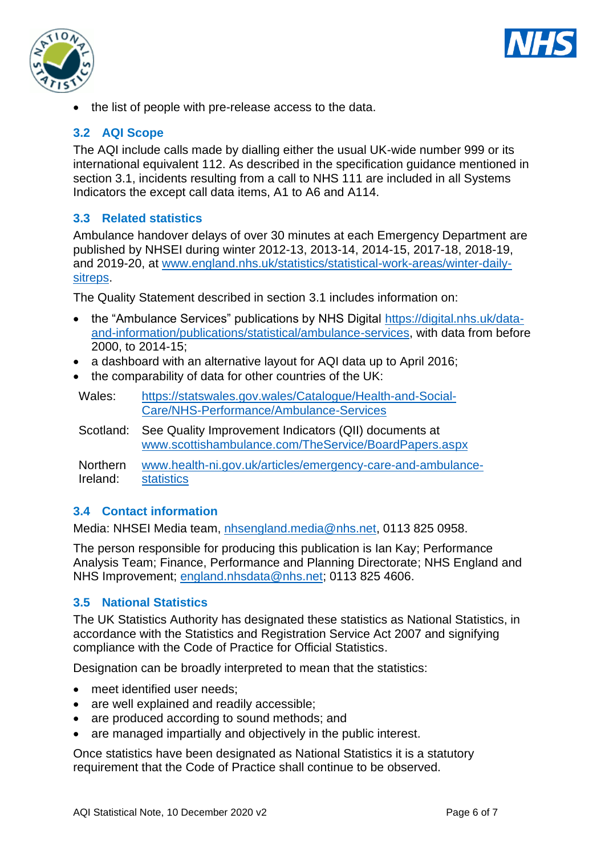



• the list of people with pre-release access to the data.

### **3.2 AQI Scope**

The AQI include calls made by dialling either the usual UK-wide number 999 or its international equivalent 112. As described in the specification guidance mentioned in section 3.1, incidents resulting from a call to NHS 111 are included in all Systems Indicators the except call data items, A1 to A6 and A114.

#### **3.3 Related statistics**

Ambulance handover delays of over 30 minutes at each Emergency Department are published by NHSEI during winter 2012-13, 2013-14, 2014-15, 2017-18, 2018-19, and 2019-20, at [www.england.nhs.uk/statistics/statistical-work-areas/winter-daily](http://www.england.nhs.uk/statistics/statistical-work-areas/winter-daily-sitreps)[sitreps.](http://www.england.nhs.uk/statistics/statistical-work-areas/winter-daily-sitreps)

The Quality Statement described in section 3.1 includes information on:

- the "Ambulance Services" publications by NHS Digital [https://digital.nhs.uk/data](https://digital.nhs.uk/data-and-information/publications/statistical/ambulance-services)[and-information/publications/statistical/ambulance-services,](https://digital.nhs.uk/data-and-information/publications/statistical/ambulance-services) with data from before 2000, to 2014-15;
- a dashboard with an alternative lavout for AQI data up to April 2016:
- the comparability of data for other countries of the UK:

Wales: [https://statswales.gov.wales/Catalogue/Health-and-Social-](https://statswales.gov.wales/Catalogue/Health-and-Social-Care/NHS-Performance/Ambulance-Services)[Care/NHS-Performance/Ambulance-Services](https://statswales.gov.wales/Catalogue/Health-and-Social-Care/NHS-Performance/Ambulance-Services)

Scotland: See Quality Improvement Indicators (QII) documents at [www.scottishambulance.com/TheService/BoardPapers.aspx](http://www.scottishambulance.com/TheService/BoardPapers.aspx)

Northern Ireland: [www.health-ni.gov.uk/articles/emergency-care-and-ambulance](http://www.health-ni.gov.uk/articles/emergency-care-and-ambulance-statistics)[statistics](http://www.health-ni.gov.uk/articles/emergency-care-and-ambulance-statistics)

#### **3.4 Contact information**

Media: NHSEI Media team, [nhsengland.media@nhs.net,](mailto:nhsengland.media@nhs.net) 0113 825 0958.

The person responsible for producing this publication is Ian Kay; Performance Analysis Team; Finance, Performance and Planning Directorate; NHS England and NHS Improvement; [england.nhsdata@nhs.net;](mailto:england.nhsdata@nhs.net) 0113 825 4606.

#### **3.5 National Statistics**

The UK Statistics Authority has designated these statistics as National Statistics, in accordance with the Statistics and Registration Service Act 2007 and signifying compliance with the Code of Practice for Official Statistics.

Designation can be broadly interpreted to mean that the statistics:

- meet identified user needs:
- are well explained and readily accessible;
- are produced according to sound methods: and
- are managed impartially and objectively in the public interest.

Once statistics have been designated as National Statistics it is a statutory requirement that the Code of Practice shall continue to be observed.